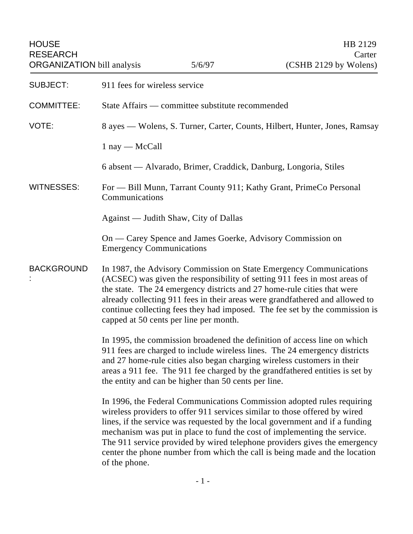| <b>HOUSE</b><br><b>RESEARCH</b><br><b>ORGANIZATION</b> bill analysis |                                                                                                                                                                                                                                                                                                                                                                                                                                     | 5/6/97 | HB 2129<br>Carter<br>(CSHB 2129 by Wolens)                                                                                                                                                                                                                                                                                                                                                                                                                                  |
|----------------------------------------------------------------------|-------------------------------------------------------------------------------------------------------------------------------------------------------------------------------------------------------------------------------------------------------------------------------------------------------------------------------------------------------------------------------------------------------------------------------------|--------|-----------------------------------------------------------------------------------------------------------------------------------------------------------------------------------------------------------------------------------------------------------------------------------------------------------------------------------------------------------------------------------------------------------------------------------------------------------------------------|
| <b>SUBJECT:</b>                                                      | 911 fees for wireless service                                                                                                                                                                                                                                                                                                                                                                                                       |        |                                                                                                                                                                                                                                                                                                                                                                                                                                                                             |
| <b>COMMITTEE:</b>                                                    | State Affairs — committee substitute recommended                                                                                                                                                                                                                                                                                                                                                                                    |        |                                                                                                                                                                                                                                                                                                                                                                                                                                                                             |
| VOTE:                                                                | 8 ayes — Wolens, S. Turner, Carter, Counts, Hilbert, Hunter, Jones, Ramsay                                                                                                                                                                                                                                                                                                                                                          |        |                                                                                                                                                                                                                                                                                                                                                                                                                                                                             |
|                                                                      | $1$ nay — McCall                                                                                                                                                                                                                                                                                                                                                                                                                    |        |                                                                                                                                                                                                                                                                                                                                                                                                                                                                             |
|                                                                      | 6 absent — Alvarado, Brimer, Craddick, Danburg, Longoria, Stiles                                                                                                                                                                                                                                                                                                                                                                    |        |                                                                                                                                                                                                                                                                                                                                                                                                                                                                             |
| <b>WITNESSES:</b>                                                    | For - Bill Munn, Tarrant County 911; Kathy Grant, PrimeCo Personal<br>Communications                                                                                                                                                                                                                                                                                                                                                |        |                                                                                                                                                                                                                                                                                                                                                                                                                                                                             |
|                                                                      | Against — Judith Shaw, City of Dallas                                                                                                                                                                                                                                                                                                                                                                                               |        |                                                                                                                                                                                                                                                                                                                                                                                                                                                                             |
|                                                                      | On — Carey Spence and James Goerke, Advisory Commission on<br><b>Emergency Communications</b>                                                                                                                                                                                                                                                                                                                                       |        |                                                                                                                                                                                                                                                                                                                                                                                                                                                                             |
| <b>BACKGROUND</b>                                                    | In 1987, the Advisory Commission on State Emergency Communications<br>(ACSEC) was given the responsibility of setting 911 fees in most areas of<br>the state. The 24 emergency districts and 27 home-rule cities that were<br>already collecting 911 fees in their areas were grandfathered and allowed to<br>continue collecting fees they had imposed. The fee set by the commission is<br>capped at 50 cents per line per month. |        |                                                                                                                                                                                                                                                                                                                                                                                                                                                                             |
|                                                                      | In 1995, the commission broadened the definition of access line on which<br>911 fees are charged to include wireless lines. The 24 emergency districts<br>and 27 home-rule cities also began charging wireless customers in their<br>areas a 911 fee. The 911 fee charged by the grandfathered entities is set by<br>the entity and can be higher than 50 cents per line.                                                           |        |                                                                                                                                                                                                                                                                                                                                                                                                                                                                             |
|                                                                      | of the phone.                                                                                                                                                                                                                                                                                                                                                                                                                       |        | In 1996, the Federal Communications Commission adopted rules requiring<br>wireless providers to offer 911 services similar to those offered by wired<br>lines, if the service was requested by the local government and if a funding<br>mechanism was put in place to fund the cost of implementing the service.<br>The 911 service provided by wired telephone providers gives the emergency<br>center the phone number from which the call is being made and the location |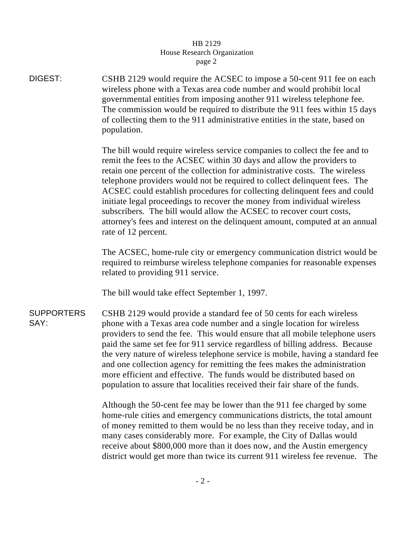## HB 2129 House Research Organization page 2

DIGEST: CSHB 2129 would require the ACSEC to impose a 50-cent 911 fee on each wireless phone with a Texas area code number and would prohibit local governmental entities from imposing another 911 wireless telephone fee. The commission would be required to distribute the 911 fees within 15 days of collecting them to the 911 administrative entities in the state, based on population. The bill would require wireless service companies to collect the fee and to remit the fees to the ACSEC within 30 days and allow the providers to retain one percent of the collection for administrative costs. The wireless telephone providers would not be required to collect delinquent fees. The ACSEC could establish procedures for collecting delinquent fees and could initiate legal proceedings to recover the money from individual wireless subscribers. The bill would allow the ACSEC to recover court costs, attorney's fees and interest on the delinquent amount, computed at an annual rate of 12 percent. The ACSEC, home-rule city or emergency communication district would be required to reimburse wireless telephone companies for reasonable expenses related to providing 911 service. The bill would take effect September 1, 1997. **SUPPORTERS** SAY: CSHB 2129 would provide a standard fee of 50 cents for each wireless phone with a Texas area code number and a single location for wireless providers to send the fee. This would ensure that all mobile telephone users

paid the same set fee for 911 service regardless of billing address. Because the very nature of wireless telephone service is mobile, having a standard fee and one collection agency for remitting the fees makes the administration more efficient and effective. The funds would be distributed based on population to assure that localities received their fair share of the funds.

Although the 50-cent fee may be lower than the 911 fee charged by some home-rule cities and emergency communications districts, the total amount of money remitted to them would be no less than they receive today, and in many cases considerably more. For example, the City of Dallas would receive about \$800,000 more than it does now, and the Austin emergency district would get more than twice its current 911 wireless fee revenue. The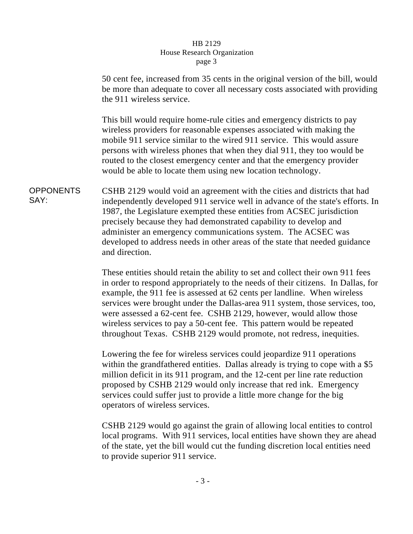## HB 2129 House Research Organization page 3

50 cent fee, increased from 35 cents in the original version of the bill, would be more than adequate to cover all necessary costs associated with providing the 911 wireless service.

This bill would require home-rule cities and emergency districts to pay wireless providers for reasonable expenses associated with making the mobile 911 service similar to the wired 911 service. This would assure persons with wireless phones that when they dial 911, they too would be routed to the closest emergency center and that the emergency provider would be able to locate them using new location technology.

**OPPONENTS** SAY: CSHB 2129 would void an agreement with the cities and districts that had independently developed 911 service well in advance of the state's efforts. In 1987, the Legislature exempted these entities from ACSEC jurisdiction precisely because they had demonstrated capability to develop and administer an emergency communications system. The ACSEC was developed to address needs in other areas of the state that needed guidance and direction.

> These entities should retain the ability to set and collect their own 911 fees in order to respond appropriately to the needs of their citizens. In Dallas, for example, the 911 fee is assessed at 62 cents per landline. When wireless services were brought under the Dallas-area 911 system, those services, too, were assessed a 62-cent fee. CSHB 2129, however, would allow those wireless services to pay a 50-cent fee. This pattern would be repeated throughout Texas. CSHB 2129 would promote, not redress, inequities.

Lowering the fee for wireless services could jeopardize 911 operations within the grandfathered entities. Dallas already is trying to cope with a \$5 million deficit in its 911 program, and the 12-cent per line rate reduction proposed by CSHB 2129 would only increase that red ink. Emergency services could suffer just to provide a little more change for the big operators of wireless services.

CSHB 2129 would go against the grain of allowing local entities to control local programs. With 911 services, local entities have shown they are ahead of the state, yet the bill would cut the funding discretion local entities need to provide superior 911 service.